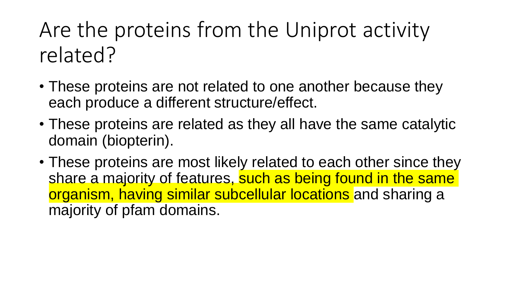Are the proteins from the Uniprot activity related?

- These proteins are not related to one another because they each produce a different structure/effect.
- These proteins are related as they all have the same catalytic domain (biopterin).
- These proteins are most likely related to each other since they share a majority of features, such as being found in the same organism, having similar subcellular locations and sharing a majority of pfam domains.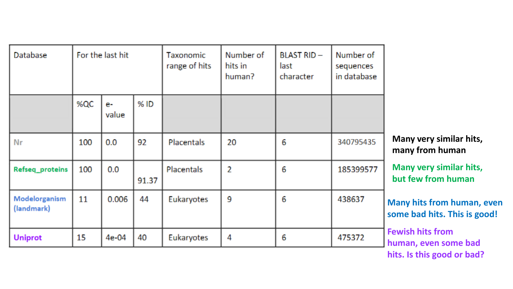| Database                    | For the last hit |             |       | <b>Taxonomic</b><br>range of hits | Number of<br>hits in<br>human? | <b>BLAST RID-</b><br>last<br>character | Number of<br>sequences<br>in database |                                |
|-----------------------------|------------------|-------------|-------|-----------------------------------|--------------------------------|----------------------------------------|---------------------------------------|--------------------------------|
|                             | %QC              | e-<br>value | % ID  |                                   |                                |                                        |                                       |                                |
| Nr                          | 100              | 0.0         | 92    | Placentals                        | 20                             | 6                                      | 340795435                             |                                |
| Refseq_proteins             | 100              | 0.0         | 91.37 | Placentals                        | 2                              | 6                                      | 185399577                             |                                |
| Modelorganism<br>(landmark) | 11               | 0.006       | 44    | Eukaryotes                        | 9                              | 6                                      | 438637                                | $\blacksquare$<br>$\mathsf{S}$ |
| <b>Uniprot</b>              | 15               | 4e-04       | 40    | Eukaryotes                        | 4                              | 6                                      | 475372                                | F<br>h                         |

**Many very similar hits, many from human**

**Many very similar hits, but few from human**

**Many hits from human, even some bad hits. This is good!**

**Fewish hits from human, even some bad hits. Is this good or bad?**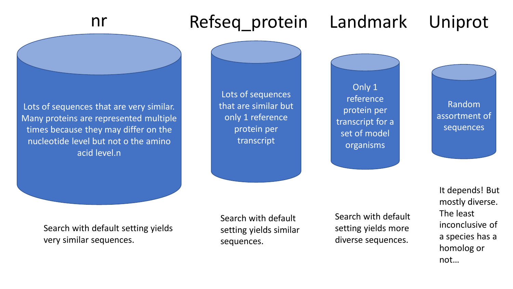Lots of sequences that are very similar. Many proteins are represented multiple times because they may differ on the nucleotide level but not o the amino acid level.n Lots of sequences that are similar but only 1 reference protein per transcript Only 1 reference protein per transcript for a set of model organisms Random assortment of sequences nr Refseq\_protein Landmark Uniprot Search with default setting yields very similar sequences. Search with default setting yields similar sequences. Search with default setting yields more diverse sequences. It depends! But mostly diverse. The least inconclusive of a species has a homolog or

not…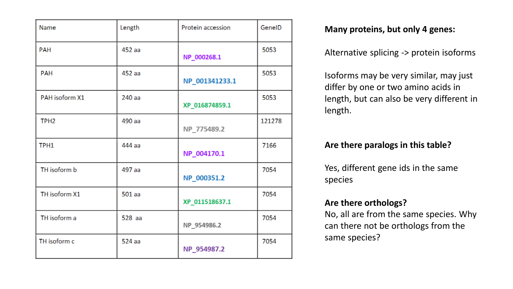| Name             | Length   | Protein accession | GenelD |
|------------------|----------|-------------------|--------|
| <b>PAH</b>       | 452 aa   | NP_000268.1       | 5053   |
| <b>PAH</b>       | 452 aa   | NP_001341233.1    | 5053   |
| PAH isoform X1   | 240 aa   | XP_016874859.1    | 5053   |
| TPH <sub>2</sub> | 490 aa   | NP_775489.2       | 121278 |
| TPH1             | 444 aa   | NP_004170.1       | 7166   |
| TH isoform b     | 497 aa   | NP_000351.2       | 7054   |
| TH isoform X1    | $501$ aa | XP_011518637.1    | 7054   |
| TH isoform a     | $528$ aa | NP_954986.2       | 7054   |
| TH isoform c     | 524 aa   | NP_954987.2       | 7054   |

## **Many proteins, but only 4 genes:**

Alternative splicing -> protein isoforms

Isoforms may be very similar, may just differ by one or two amino acids in length, but can also be very different in length.

## **Are there paralogs in this table?**

Yes, different gene ids in the same species

## **Are there orthologs?**

No, all are from the same species. Why can there not be orthologs from the same species?